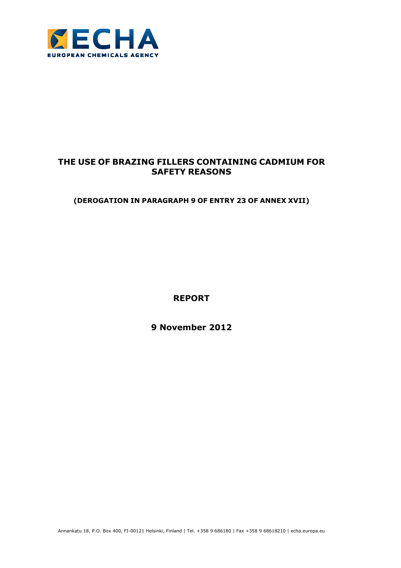

# **THE USE OF BRAZING FILLERS CONTAINING CADMIUM FOR SAFETY REASONS**

**(DEROGATION IN PARAGRAPH 9 OF ENTRY 23 OF ANNEX XVII)** 

**REPORT** 

**9 November 2012** 

Annankatu 18, P.O. Box 400, FI-00121 Helsinki, Finland | Tel. +358 9 686180 | Fax +358 9 68618210 | echa.europa.eu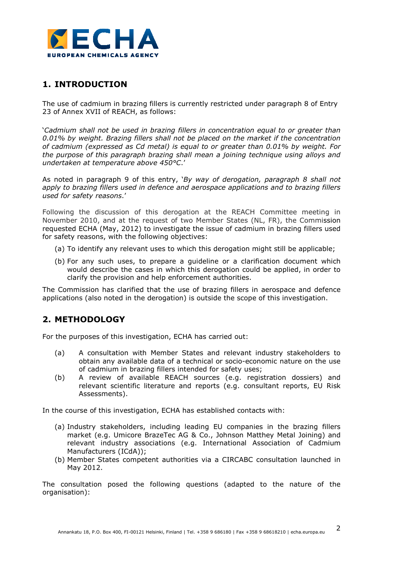

# **1. INTRODUCTION**

The use of cadmium in brazing fillers is currently restricted under paragraph 8 of Entry 23 of Annex XVII of REACH, as follows:

'*Cadmium shall not be used in brazing fillers in concentration equal to or greater than 0.01% by weight. Brazing fillers shall not be placed on the market if the concentration of cadmium (expressed as Cd metal) is equal to or greater than 0.01% by weight. For the purpose of this paragraph brazing shall mean a joining technique using alloys and undertaken at temperature above 450°C*.'

As noted in paragraph 9 of this entry, '*By way of derogation, paragraph 8 shall not apply to brazing fillers used in defence and aerospace applications and to brazing fillers used for safety reasons*.'

Following the discussion of this derogation at the REACH Committee meeting in November 2010, and at the request of two Member States (NL, FR), the Commission requested ECHA (May, 2012) to investigate the issue of cadmium in brazing fillers used for safety reasons, with the following objectives:

- (a) To identify any relevant uses to which this derogation might still be applicable;
- (b) For any such uses, to prepare a guideline or a clarification document which would describe the cases in which this derogation could be applied, in order to clarify the provision and help enforcement authorities.

The Commission has clarified that the use of brazing fillers in aerospace and defence applications (also noted in the derogation) is outside the scope of this investigation.

## **2. METHODOLOGY**

For the purposes of this investigation, ECHA has carried out:

- (a) A consultation with Member States and relevant industry stakeholders to obtain any available data of a technical or socio-economic nature on the use of cadmium in brazing fillers intended for safety uses;
- (b) A review of available REACH sources (e.g. registration dossiers) and relevant scientific literature and reports (e.g. consultant reports, EU Risk Assessments).

In the course of this investigation, ECHA has established contacts with:

- (a) Industry stakeholders, including leading EU companies in the brazing fillers market (e.g. Umicore BrazeTec AG & Co., Johnson Matthey Metal Joining) and relevant industry associations (e.g. International Association of Cadmium Manufacturers (ICdA));
- (b) Member States competent authorities via a CIRCABC consultation launched in May 2012.

The consultation posed the following questions (adapted to the nature of the organisation):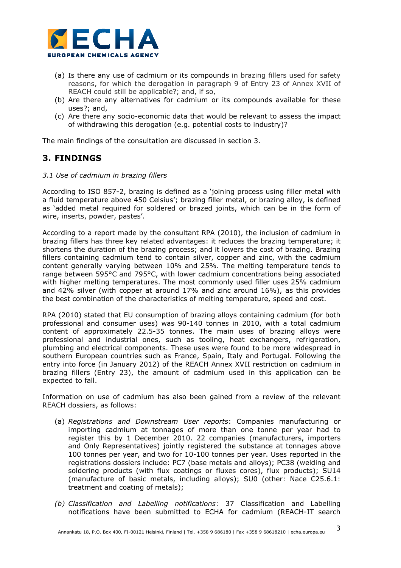

- (a) Is there any use of cadmium or its compounds in brazing fillers used for safety reasons, for which the derogation in paragraph 9 of Entry 23 of Annex XVII of REACH could still be applicable?; and, if so,
- (b) Are there any alternatives for cadmium or its compounds available for these uses?; and,
- (c) Are there any socio-economic data that would be relevant to assess the impact of withdrawing this derogation (e.g. potential costs to industry)?

The main findings of the consultation are discussed in section 3.

# **3. FINDINGS**

#### *3.1 Use of cadmium in brazing fillers*

According to ISO 857-2, brazing is defined as a 'joining process using filler metal with a fluid temperature above 450 Celsius'; brazing filler metal, or brazing alloy, is defined as 'added metal required for soldered or brazed joints, which can be in the form of wire, inserts, powder, pastes'.

According to a report made by the consultant RPA (2010), the inclusion of cadmium in brazing fillers has three key related advantages: it reduces the brazing temperature; it shortens the duration of the brazing process; and it lowers the cost of brazing. Brazing fillers containing cadmium tend to contain silver, copper and zinc, with the cadmium content generally varying between 10% and 25%. The melting temperature tends to range between 595°C and 795°C, with lower cadmium concentrations being associated with higher melting temperatures. The most commonly used filler uses 25% cadmium and 42% silver (with copper at around 17% and zinc around 16%), as this provides the best combination of the characteristics of melting temperature, speed and cost.

RPA (2010) stated that EU consumption of brazing alloys containing cadmium (for both professional and consumer uses) was 90-140 tonnes in 2010, with a total cadmium content of approximately 22.5-35 tonnes. The main uses of brazing alloys were professional and industrial ones, such as tooling, heat exchangers, refrigeration, plumbing and electrical components. These uses were found to be more widespread in southern European countries such as France, Spain, Italy and Portugal. Following the entry into force (in January 2012) of the REACH Annex XVII restriction on cadmium in brazing fillers (Entry 23), the amount of cadmium used in this application can be expected to fall.

Information on use of cadmium has also been gained from a review of the relevant REACH dossiers, as follows:

- (a) *Registrations and Downstream User reports*: Companies manufacturing or importing cadmium at tonnages of more than one tonne per year had to register this by 1 December 2010. 22 companies (manufacturers, importers and Only Representatives) jointly registered the substance at tonnages above 100 tonnes per year, and two for 10-100 tonnes per year. Uses reported in the registrations dossiers include: PC7 (base metals and alloys); PC38 (welding and soldering products (with flux coatings or fluxes cores), flux products); SU14 (manufacture of basic metals, including alloys); SU0 (other: Nace C25.6.1: treatment and coating of metals);
- *(b) Classification and Labelling notifications*: 37 Classification and Labelling notifications have been submitted to ECHA for cadmium (REACH-IT search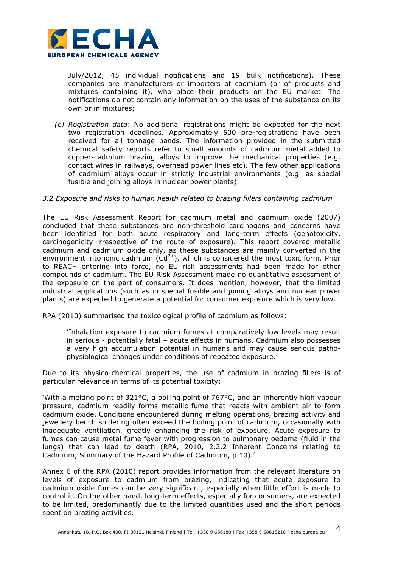

July/2012, 45 individual notifications and 19 bulk notifications). These companies are manufacturers or importers of cadmium (or of products and mixtures containing it), who place their products on the EU market. The notifications do not contain any information on the uses of the substance on its own or in mixtures;

*(c) Registration data*: No additional registrations might be expected for the next two registration deadlines. Approximately 500 pre-registrations have been received for all tonnage bands. The information provided in the submitted chemical safety reports refer to small amounts of cadmium metal added to copper-cadmium brazing alloys to improve the mechanical properties (e.g. contact wires in railways, overhead power lines etc). The few other applications of cadmium alloys occur in strictly industrial environments (e.g. as special fusible and joining alloys in nuclear power plants).

#### *3.2 Exposure and risks to human health related to brazing fillers containing cadmium*

The EU Risk Assessment Report for cadmium metal and cadmium oxide (2007) concluded that these substances are non-threshold carcinogens and concerns have been identified for both acute respiratory and long-term effects (genotoxicity, carcinogenicity irrespective of the route of exposure). This report covered metallic cadmium and cadmium oxide only, as these substances are mainly converted in the environment into ionic cadmium  $(Cd^{2+})$ , which is considered the most toxic form. Prior to REACH entering into force, no EU risk assessments had been made for other compounds of cadmium. The EU Risk Assessment made no quantitative assessment of the exposure on the part of consumers. It does mention, however, that the limited industrial applications (such as in special fusible and joining alloys and nuclear power plants) are expected to generate a potential for consumer exposure which is very low.

RPA (2010) summarised the toxicological profile of cadmium as follows:

'Inhalation exposure to cadmium fumes at comparatively low levels may result in serious - potentially fatal – acute effects in humans. Cadmium also possesses a very high accumulation potential in humans and may cause serious pathophysiological changes under conditions of repeated exposure.'

Due to its physico-chemical properties, the use of cadmium in brazing fillers is of particular relevance in terms of its potential toxicity:

'With a melting point of 321°C, a boiling point of 767°C, and an inherently high vapour pressure, cadmium readily forms metallic fume that reacts with ambient air to form cadmium oxide. Conditions encountered during melting operations, brazing activity and jewellery bench soldering often exceed the boiling point of cadmium, occasionally with inadequate ventilation, greatly enhancing the risk of exposure. Acute exposure to fumes can cause metal fume fever with progression to pulmonary oedema (fluid in the lungs) that can lead to death (RPA, 2010, 2.2.2 Inherent Concerns relating to Cadmium, Summary of the Hazard Profile of Cadmium, p 10).'

Annex 6 of the RPA (2010) report provides information from the relevant literature on levels of exposure to cadmium from brazing, indicating that acute exposure to cadmium oxide fumes can be very significant, especially when little effort is made to control it. On the other hand, long-term effects, especially for consumers, are expected to be limited, predominantly due to the limited quantities used and the short periods spent on brazing activities.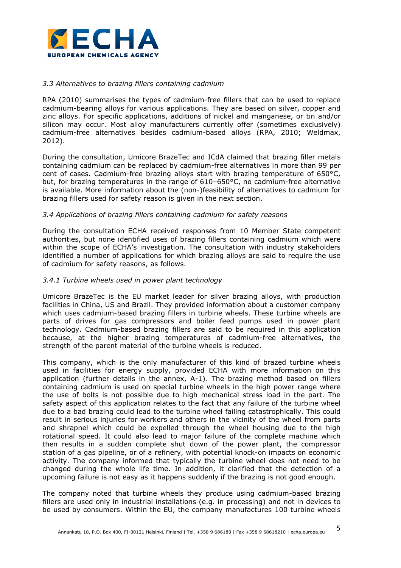

### *3.3 Alternatives to brazing fillers containing cadmium*

RPA (2010) summarises the types of cadmium-free fillers that can be used to replace cadmium-bearing alloys for various applications. They are based on silver, copper and zinc alloys. For specific applications, additions of nickel and manganese, or tin and/or silicon may occur. Most alloy manufacturers currently offer (sometimes exclusively) cadmium-free alternatives besides cadmium-based alloys (RPA, 2010; Weldmax, 2012).

During the consultation, Umicore BrazeTec and ICdA claimed that brazing filler metals containing cadmium can be replaced by cadmium-free alternatives in more than 99 per cent of cases. Cadmium-free brazing alloys start with brazing temperature of 650°C, but, for brazing temperatures in the range of 610–650°C, no cadmium-free alternative is available. More information about the (non-)feasibility of alternatives to cadmium for brazing fillers used for safety reason is given in the next section.

### *3.4 Applications of brazing fillers containing cadmium for safety reasons*

During the consultation ECHA received responses from 10 Member State competent authorities, but none identified uses of brazing fillers containing cadmium which were within the scope of ECHA's investigation. The consultation with industry stakeholders identified a number of applications for which brazing alloys are said to require the use of cadmium for safety reasons, as follows.

#### *3.4.1 Turbine wheels used in power plant technology*

Umicore BrazeTec is the EU market leader for silver brazing alloys, with production facilities in China, US and Brazil. They provided information about a customer company which uses cadmium-based brazing fillers in turbine wheels. These turbine wheels are parts of drives for gas compressors and boiler feed pumps used in power plant technology. Cadmium-based brazing fillers are said to be required in this application because, at the higher brazing temperatures of cadmium-free alternatives, the strength of the parent material of the turbine wheels is reduced.

This company, which is the only manufacturer of this kind of brazed turbine wheels used in facilities for energy supply, provided ECHA with more information on this application (further details in the annex, A-1). The brazing method based on fillers containing cadmium is used on special turbine wheels in the high power range where the use of bolts is not possible due to high mechanical stress load in the part. The safety aspect of this application relates to the fact that any failure of the turbine wheel due to a bad brazing could lead to the turbine wheel failing catastrophically. This could result in serious injuries for workers and others in the vicinity of the wheel from parts and shrapnel which could be expelled through the wheel housing due to the high rotational speed. It could also lead to major failure of the complete machine which then results in a sudden complete shut down of the power plant, the compressor station of a gas pipeline, or of a refinery, with potential knock-on impacts on economic activity. The company informed that typically the turbine wheel does not need to be changed during the whole life time. In addition, it clarified that the detection of a upcoming failure is not easy as it happens suddenly if the brazing is not good enough.

The company noted that turbine wheels they produce using cadmium-based brazing fillers are used only in industrial installations (e.g. in processing) and not in devices to be used by consumers. Within the EU, the company manufactures 100 turbine wheels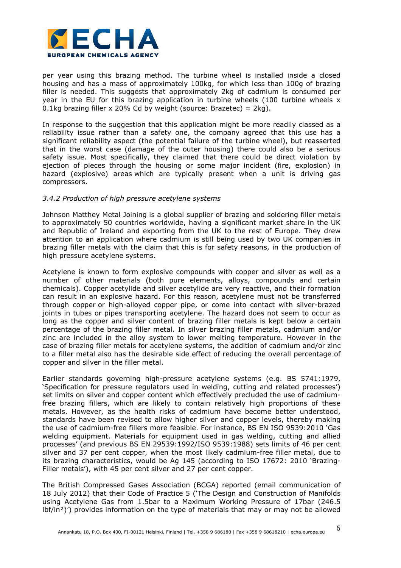

per year using this brazing method. The turbine wheel is installed inside a closed housing and has a mass of approximately 100kg, for which less than 100g of brazing filler is needed. This suggests that approximately 2kg of cadmium is consumed per year in the EU for this brazing application in turbine wheels  $(100)$  turbine wheels x 0.1kg brazing filler x 20% Cd by weight (source: Brazetec) =  $2$ kg).

In response to the suggestion that this application might be more readily classed as a reliability issue rather than a safety one, the company agreed that this use has a significant reliability aspect (the potential failure of the turbine wheel), but reasserted that in the worst case (damage of the outer housing) there could also be a serious safety issue. Most specifically, they claimed that there could be direct violation by ejection of pieces through the housing or some major incident (fire, explosion) in hazard (explosive) areas which are typically present when a unit is driving gas compressors.

#### *3.4.2 Production of high pressure acetylene systems*

Johnson Matthey Metal Joining is a global supplier of brazing and soldering filler metals to approximately 50 countries worldwide, having a significant market share in the UK and Republic of Ireland and exporting from the UK to the rest of Europe. They drew attention to an application where cadmium is still being used by two UK companies in brazing filler metals with the claim that this is for safety reasons, in the production of high pressure acetylene systems.

Acetylene is known to form explosive compounds with copper and silver as well as a number of other materials (both pure elements, alloys, compounds and certain chemicals). Copper acetylide and silver acetylide are very reactive, and their formation can result in an explosive hazard. For this reason, acetylene must not be transferred through copper or high-alloyed copper pipe, or come into contact with silver-brazed joints in tubes or pipes transporting acetylene. The hazard does not seem to occur as long as the copper and silver content of brazing filler metals is kept below a certain percentage of the brazing filler metal. In silver brazing filler metals, cadmium and/or zinc are included in the alloy system to lower melting temperature. However in the case of brazing filler metals for acetylene systems, the addition of cadmium and/or zinc to a filler metal also has the desirable side effect of reducing the overall percentage of copper and silver in the filler metal.

Earlier standards governing high-pressure acetylene systems (e.g. BS 5741:1979, 'Specification for pressure regulators used in welding, cutting and related processes') set limits on silver and copper content which effectively precluded the use of cadmiumfree brazing fillers, which are likely to contain relatively high proportions of these metals. However, as the health risks of cadmium have become better understood, standards have been revised to allow higher silver and copper levels, thereby making the use of cadmium-free fillers more feasible. For instance, BS EN ISO 9539:2010 'Gas welding equipment. Materials for equipment used in gas welding, cutting and allied processes' (and previous BS EN 29539:1992/ISO 9539:1988) sets limits of 46 per cent silver and 37 per cent copper, when the most likely cadmium-free filler metal, due to its brazing characteristics, would be Ag 145 (according to ISO 17672: 2010 'Brazing-Filler metals'), with 45 per cent silver and 27 per cent copper.

The British Compressed Gases Association (BCGA) reported (email communication of 18 July 2012) that their Code of Practice 5 ('The Design and Construction of Manifolds using Acetylene Gas from 1.5bar to a Maximum Working Pressure of 17bar (246.5 lbf/in²)') provides information on the type of materials that may or may not be allowed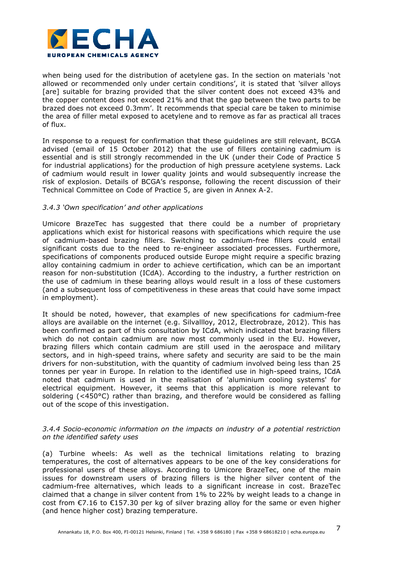

when being used for the distribution of acetylene gas. In the section on materials 'not allowed or recommended only under certain conditions', it is stated that *'*silver alloys [are] suitable for brazing provided that the silver content does not exceed 43% and the copper content does not exceed 21% and that the gap between the two parts to be brazed does not exceed 0.3mm'. It recommends that special care be taken to minimise the area of filler metal exposed to acetylene and to remove as far as practical all traces of flux.

In response to a request for confirmation that these guidelines are still relevant, BCGA advised (email of 15 October 2012) that the use of fillers containing cadmium is essential and is still strongly recommended in the UK (under their Code of Practice 5 for industrial applications) for the production of high pressure acetylene systems. Lack of cadmium would result in lower quality joints and would subsequently increase the risk of explosion. Details of BCGA's response, following the recent discussion of their Technical Committee on Code of Practice 5, are given in Annex A-2.

#### *3.4.3 'Own specification' and other applications*

Umicore BrazeTec has suggested that there could be a number of proprietary applications which exist for historical reasons with specifications which require the use of cadmium-based brazing fillers. Switching to cadmium-free fillers could entail significant costs due to the need to re-engineer associated processes. Furthermore, specifications of components produced outside Europe might require a specific brazing alloy containing cadmium in order to achieve certification, which can be an important reason for non-substitution (ICdA). According to the industry, a further restriction on the use of cadmium in these bearing alloys would result in a loss of these customers (and a subsequent loss of competitiveness in these areas that could have some impact in employment).

It should be noted, however, that examples of new specifications for cadmium-free alloys are available on the internet (e.g. Silvallloy, 2012, Electrobraze, 2012). This has been confirmed as part of this consultation by ICdA, which indicated that brazing fillers which do not contain cadmium are now most commonly used in the EU. However, brazing fillers which contain cadmium are still used in the aerospace and military sectors, and in high-speed trains, where safety and security are said to be the main drivers for non-substitution, with the quantity of cadmium involved being less than 25 tonnes per year in Europe. In relation to the identified use in high-speed trains, ICdA noted that cadmium is used in the realisation of 'aluminium cooling systems' for electrical equipment. However, it seems that this application is more relevant to soldering (<450°C) rather than brazing, and therefore would be considered as falling out of the scope of this investigation.

### *3.4.4 Socio-economic information on the impacts on industry of a potential restriction on the identified safety uses*

(a) Turbine wheels: As well as the technical limitations relating to brazing temperatures, the cost of alternatives appears to be one of the key considerations for professional users of these alloys. According to Umicore BrazeTec, one of the main issues for downstream users of brazing fillers is the higher silver content of the cadmium-free alternatives, which leads to a significant increase in cost. BrazeTec claimed that a change in silver content from 1% to 22% by weight leads to a change in cost from  $\epsilon$ 7.16 to  $\epsilon$ 157.30 per kg of silver brazing alloy for the same or even higher (and hence higher cost) brazing temperature.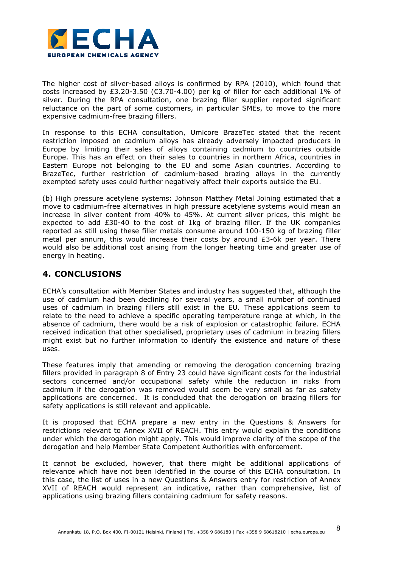

The higher cost of silver-based alloys is confirmed by RPA (2010), which found that costs increased by £3.20-3.50 ( $\epsilon$ 3.70-4.00) per kg of filler for each additional 1% of silver. During the RPA consultation, one brazing filler supplier reported significant reluctance on the part of some customers, in particular SMEs, to move to the more expensive cadmium-free brazing fillers.

In response to this ECHA consultation, Umicore BrazeTec stated that the recent restriction imposed on cadmium alloys has already adversely impacted producers in Europe by limiting their sales of alloys containing cadmium to countries outside Europe. This has an effect on their sales to countries in northern Africa, countries in Eastern Europe not belonging to the EU and some Asian countries. According to BrazeTec, further restriction of cadmium-based brazing alloys in the currently exempted safety uses could further negatively affect their exports outside the EU.

(b) High pressure acetylene systems: Johnson Matthey Metal Joining estimated that a move to cadmium-free alternatives in high pressure acetylene systems would mean an increase in silver content from 40% to 45%. At current silver prices, this might be expected to add £30-40 to the cost of 1kg of brazing filler. If the UK companies reported as still using these filler metals consume around 100-150 kg of brazing filler metal per annum, this would increase their costs by around  $E3-6k$  per year. There would also be additional cost arising from the longer heating time and greater use of energy in heating.

## **4. CONCLUSIONS**

ECHA's consultation with Member States and industry has suggested that, although the use of cadmium had been declining for several years, a small number of continued uses of cadmium in brazing fillers still exist in the EU. These applications seem to relate to the need to achieve a specific operating temperature range at which, in the absence of cadmium, there would be a risk of explosion or catastrophic failure. ECHA received indication that other specialised, proprietary uses of cadmium in brazing fillers might exist but no further information to identify the existence and nature of these uses.

These features imply that amending or removing the derogation concerning brazing fillers provided in paragraph 8 of Entry 23 could have significant costs for the industrial sectors concerned and/or occupational safety while the reduction in risks from cadmium if the derogation was removed would seem be very small as far as safety applications are concerned. It is concluded that the derogation on brazing fillers for safety applications is still relevant and applicable.

It is proposed that ECHA prepare a new entry in the Questions & Answers for restrictions relevant to Annex XVII of REACH. This entry would explain the conditions under which the derogation might apply. This would improve clarity of the scope of the derogation and help Member State Competent Authorities with enforcement.

It cannot be excluded, however, that there might be additional applications of relevance which have not been identified in the course of this ECHA consultation. In this case, the list of uses in a new Questions & Answers entry for restriction of Annex XVII of REACH would represent an indicative, rather than comprehensive, list of applications using brazing fillers containing cadmium for safety reasons.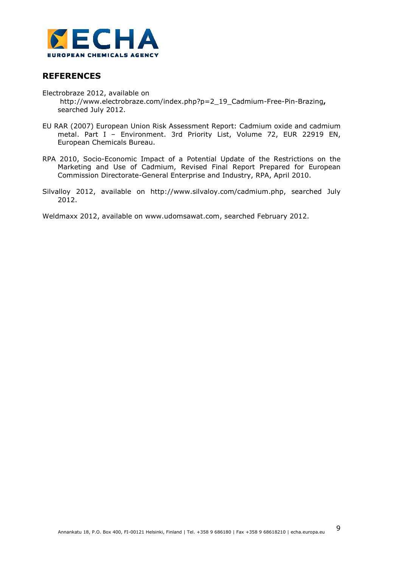

## **REFERENCES**

Electrobraze 2012, available on http://www.electrobraze.com/index.php?p=2\_19\_Cadmium-Free-Pin-Brazing**,**  searched July 2012.

- EU RAR (2007) European Union Risk Assessment Report: Cadmium oxide and cadmium metal. Part I – Environment. 3rd Priority List, Volume 72, EUR 22919 EN, European Chemicals Bureau.
- RPA 2010, Socio-Economic Impact of a Potential Update of the Restrictions on the Marketing and Use of Cadmium, Revised Final Report Prepared for European Commission Directorate-General Enterprise and Industry, RPA, April 2010.
- Silvalloy 2012, available on http://www.silvaloy.com/cadmium.php, searched July 2012.

Weldmaxx 2012, available on www.udomsawat.com, searched February 2012.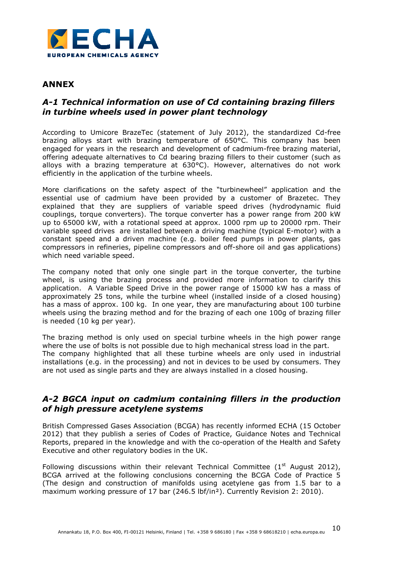

### **ANNEX**

## *A-1 Technical information on use of Cd containing brazing fillers in turbine wheels used in power plant technology*

According to Umicore BrazeTec (statement of July 2012), the standardized Cd-free brazing alloys start with brazing temperature of 650°C. This company has been engaged for years in the research and development of cadmium-free brazing material, offering adequate alternatives to Cd bearing brazing fillers to their customer (such as alloys with a brazing temperature at 630°C). However, alternatives do not work efficiently in the application of the turbine wheels.

More clarifications on the safety aspect of the "turbinewheel" application and the essential use of cadmium have been provided by a customer of Brazetec. They explained that they are suppliers of variable speed drives (hydrodynamic fluid couplings, torque converters). The torque converter has a power range from 200 kW up to 65000 kW, with a rotational speed at approx. 1000 rpm up to 20000 rpm. Their variable speed drives are installed between a driving machine (typical E-motor) with a constant speed and a driven machine (e.g. boiler feed pumps in power plants, gas compressors in refineries, pipeline compressors and off-shore oil and gas applications) which need variable speed.

The company noted that only one single part in the torque converter, the turbine wheel, is using the brazing process and provided more information to clarify this application. A Variable Speed Drive in the power range of 15000 kW has a mass of approximately 25 tons, while the turbine wheel (installed inside of a closed housing) has a mass of approx. 100 kg. In one year, they are manufacturing about 100 turbine wheels using the brazing method and for the brazing of each one 100g of brazing filler is needed (10 kg per year).

The brazing method is only used on special turbine wheels in the high power range where the use of bolts is not possible due to high mechanical stress load in the part. The company highlighted that all these turbine wheels are only used in industrial installations (e.g. in the processing) and not in devices to be used by consumers. They are not used as single parts and they are always installed in a closed housing.

### *A-2 BGCA input on cadmium containing fillers in the production of high pressure acetylene systems*

British Compressed Gases Association (BCGA) has recently informed ECHA (15 October 2012) that they publish a series of Codes of Practice, Guidance Notes and Technical Reports, prepared in the knowledge and with the co-operation of the Health and Safety Executive and other regulatory bodies in the UK.

Following discussions within their relevant Technical Committee ( $1<sup>st</sup>$  August 2012), BCGA arrived at the following conclusions concerning the BCGA Code of Practice 5 (The design and construction of manifolds using acetylene gas from 1.5 bar to a maximum working pressure of 17 bar (246.5 lbf/in²). Currently Revision 2: 2010).